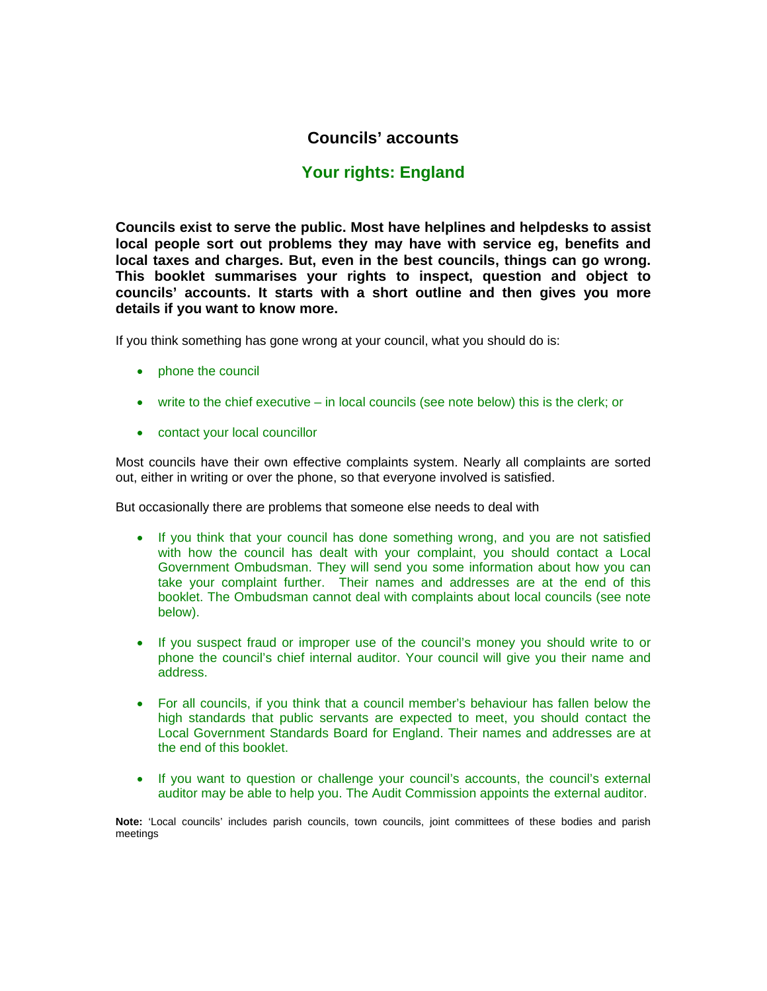# **Councils' accounts**

# **Your rights: England**

**Councils exist to serve the public. Most have helplines and helpdesks to assist local people sort out problems they may have with service eg, benefits and local taxes and charges. But, even in the best councils, things can go wrong. This booklet summarises your rights to inspect, question and object to councils' accounts. It starts with a short outline and then gives you more details if you want to know more.** 

If you think something has gone wrong at your council, what you should do is:

- phone the council
- write to the chief executive in local councils (see note below) this is the clerk; or
- contact your local councillor

Most councils have their own effective complaints system. Nearly all complaints are sorted out, either in writing or over the phone, so that everyone involved is satisfied.

But occasionally there are problems that someone else needs to deal with

- If you think that your council has done something wrong, and you are not satisfied with how the council has dealt with your complaint, you should contact a Local Government Ombudsman. They will send you some information about how you can take your complaint further. Their names and addresses are at the end of this booklet. The Ombudsman cannot deal with complaints about local councils (see note below).
- If you suspect fraud or improper use of the council's money you should write to or phone the council's chief internal auditor. Your council will give you their name and address.
- For all councils, if you think that a council member's behaviour has fallen below the high standards that public servants are expected to meet, you should contact the Local Government Standards Board for England. Their names and addresses are at the end of this booklet.
- If you want to question or challenge your council's accounts, the council's external auditor may be able to help you. The Audit Commission appoints the external auditor.

**Note:** 'Local councils' includes parish councils, town councils, joint committees of these bodies and parish meetings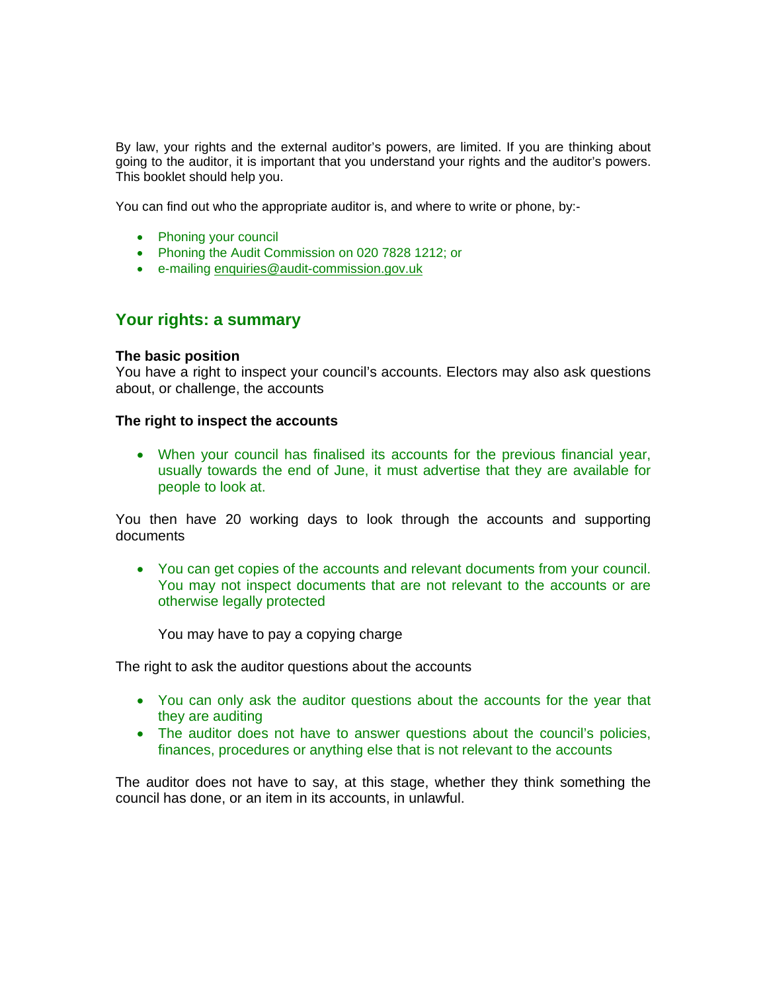By law, your rights and the external auditor's powers, are limited. If you are thinking about going to the auditor, it is important that you understand your rights and the auditor's powers. This booklet should help you.

You can find out who the appropriate auditor is, and where to write or phone, by:-

- Phoning your council
- Phoning the Audit Commission on 020 7828 1212; or
- e-mailing enquiries@audit-commission.gov.uk

### **Your rights: a summary**

#### **The basic position**

You have a right to inspect your council's accounts. Electors may also ask questions about, or challenge, the accounts

#### **The right to inspect the accounts**

• When your council has finalised its accounts for the previous financial year, usually towards the end of June, it must advertise that they are available for people to look at.

You then have 20 working days to look through the accounts and supporting documents

• You can get copies of the accounts and relevant documents from your council. You may not inspect documents that are not relevant to the accounts or are otherwise legally protected

You may have to pay a copying charge

The right to ask the auditor questions about the accounts

- You can only ask the auditor questions about the accounts for the year that they are auditing
- The auditor does not have to answer questions about the council's policies, finances, procedures or anything else that is not relevant to the accounts

The auditor does not have to say, at this stage, whether they think something the council has done, or an item in its accounts, in unlawful.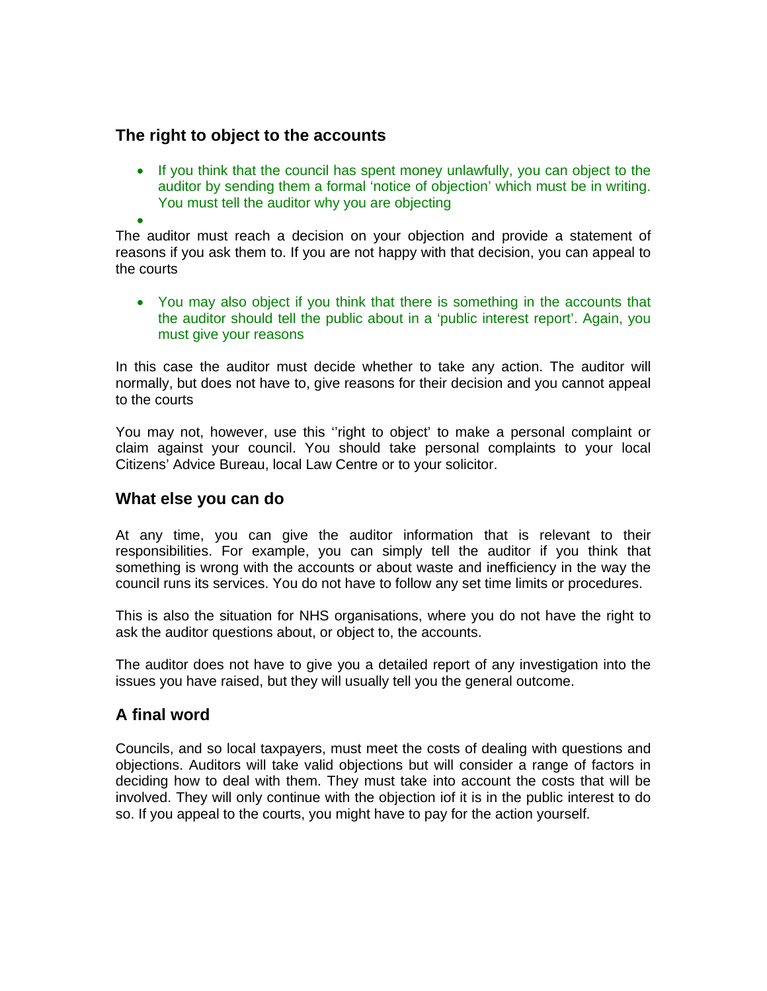# **The right to object to the accounts**

• If you think that the council has spent money unlawfully, you can object to the auditor by sending them a formal 'notice of objection' which must be in writing. You must tell the auditor why you are objecting

• The auditor must reach a decision on your objection and provide a statement of reasons if you ask them to. If you are not happy with that decision, you can appeal to the courts

• You may also object if you think that there is something in the accounts that the auditor should tell the public about in a 'public interest report'. Again, you must give your reasons

In this case the auditor must decide whether to take any action. The auditor will normally, but does not have to, give reasons for their decision and you cannot appeal to the courts

You may not, however, use this ''right to object' to make a personal complaint or claim against your council. You should take personal complaints to your local Citizens' Advice Bureau, local Law Centre or to your solicitor.

### **What else you can do**

At any time, you can give the auditor information that is relevant to their responsibilities. For example, you can simply tell the auditor if you think that something is wrong with the accounts or about waste and inefficiency in the way the council runs its services. You do not have to follow any set time limits or procedures.

This is also the situation for NHS organisations, where you do not have the right to ask the auditor questions about, or object to, the accounts.

The auditor does not have to give you a detailed report of any investigation into the issues you have raised, but they will usually tell you the general outcome.

# **A final word**

Councils, and so local taxpayers, must meet the costs of dealing with questions and objections. Auditors will take valid objections but will consider a range of factors in deciding how to deal with them. They must take into account the costs that will be involved. They will only continue with the objection iof it is in the public interest to do so. If you appeal to the courts, you might have to pay for the action yourself.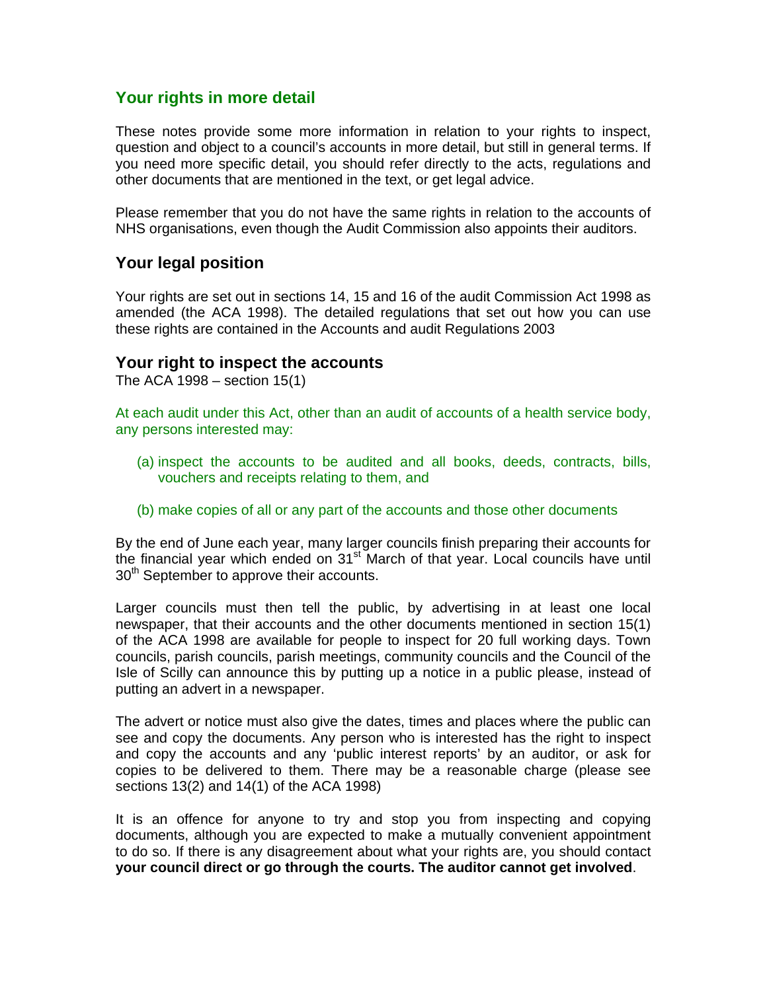# **Your rights in more detail**

These notes provide some more information in relation to your rights to inspect, question and object to a council's accounts in more detail, but still in general terms. If you need more specific detail, you should refer directly to the acts, regulations and other documents that are mentioned in the text, or get legal advice.

Please remember that you do not have the same rights in relation to the accounts of NHS organisations, even though the Audit Commission also appoints their auditors.

### **Your legal position**

Your rights are set out in sections 14, 15 and 16 of the audit Commission Act 1998 as amended (the ACA 1998). The detailed regulations that set out how you can use these rights are contained in the Accounts and audit Regulations 2003

### **Your right to inspect the accounts**

The ACA 1998 – section 15(1)

At each audit under this Act, other than an audit of accounts of a health service body, any persons interested may:

- (a) inspect the accounts to be audited and all books, deeds, contracts, bills, vouchers and receipts relating to them, and
- (b) make copies of all or any part of the accounts and those other documents

By the end of June each year, many larger councils finish preparing their accounts for the financial year which ended on  $31<sup>st</sup>$  March of that year. Local councils have until 30<sup>th</sup> September to approve their accounts.

Larger councils must then tell the public, by advertising in at least one local newspaper, that their accounts and the other documents mentioned in section 15(1) of the ACA 1998 are available for people to inspect for 20 full working days. Town councils, parish councils, parish meetings, community councils and the Council of the Isle of Scilly can announce this by putting up a notice in a public please, instead of putting an advert in a newspaper.

The advert or notice must also give the dates, times and places where the public can see and copy the documents. Any person who is interested has the right to inspect and copy the accounts and any 'public interest reports' by an auditor, or ask for copies to be delivered to them. There may be a reasonable charge (please see sections 13(2) and 14(1) of the ACA 1998)

It is an offence for anyone to try and stop you from inspecting and copying documents, although you are expected to make a mutually convenient appointment to do so. If there is any disagreement about what your rights are, you should contact **your council direct or go through the courts. The auditor cannot get involved**.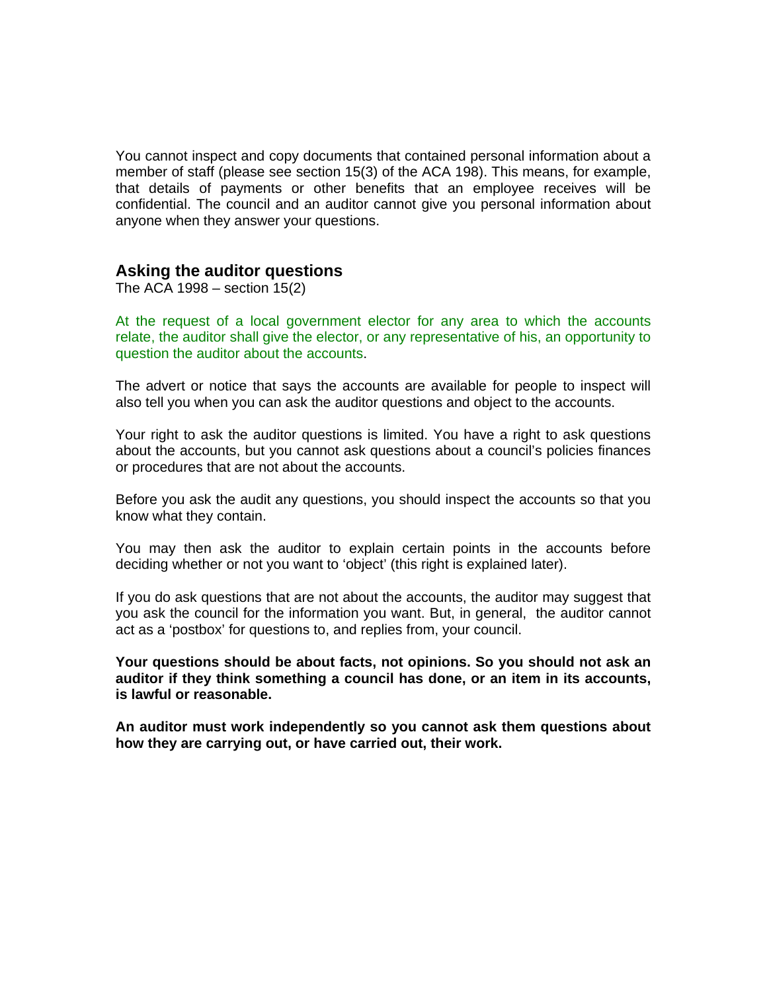You cannot inspect and copy documents that contained personal information about a member of staff (please see section 15(3) of the ACA 198). This means, for example, that details of payments or other benefits that an employee receives will be confidential. The council and an auditor cannot give you personal information about anyone when they answer your questions.

### **Asking the auditor questions**

The ACA 1998 – section 15(2)

At the request of a local government elector for any area to which the accounts relate, the auditor shall give the elector, or any representative of his, an opportunity to question the auditor about the accounts.

The advert or notice that says the accounts are available for people to inspect will also tell you when you can ask the auditor questions and object to the accounts.

Your right to ask the auditor questions is limited. You have a right to ask questions about the accounts, but you cannot ask questions about a council's policies finances or procedures that are not about the accounts.

Before you ask the audit any questions, you should inspect the accounts so that you know what they contain.

You may then ask the auditor to explain certain points in the accounts before deciding whether or not you want to 'object' (this right is explained later).

If you do ask questions that are not about the accounts, the auditor may suggest that you ask the council for the information you want. But, in general, the auditor cannot act as a 'postbox' for questions to, and replies from, your council.

**Your questions should be about facts, not opinions. So you should not ask an auditor if they think something a council has done, or an item in its accounts, is lawful or reasonable.** 

**An auditor must work independently so you cannot ask them questions about how they are carrying out, or have carried out, their work.**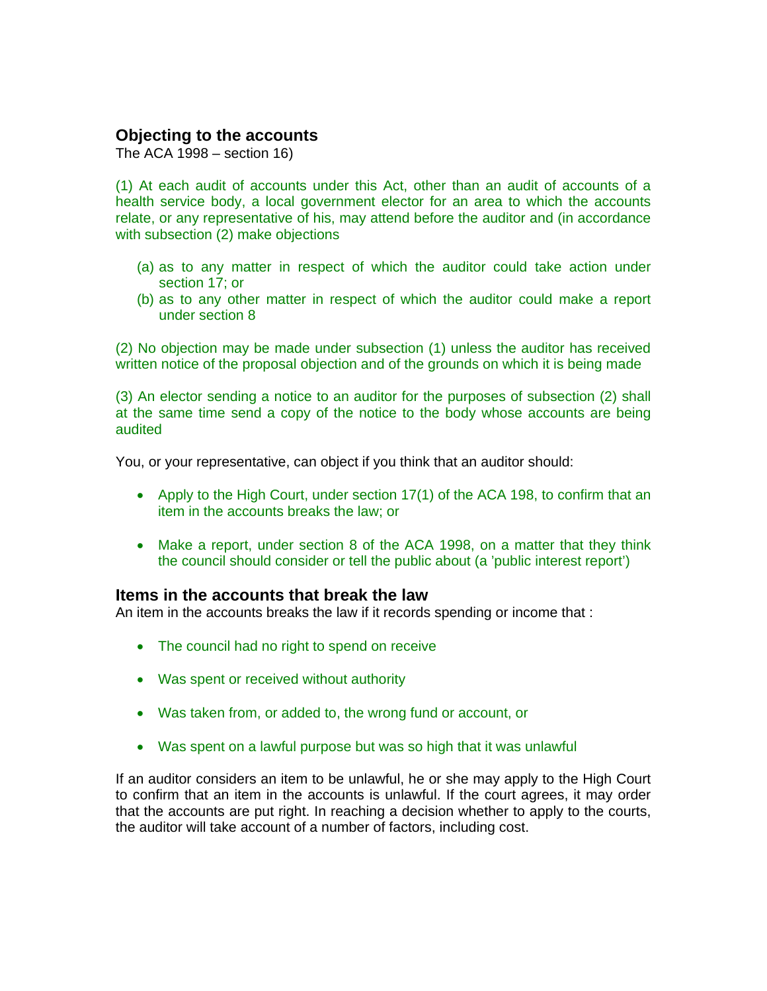# **Objecting to the accounts**

The ACA 1998 – section 16)

(1) At each audit of accounts under this Act, other than an audit of accounts of a health service body, a local government elector for an area to which the accounts relate, or any representative of his, may attend before the auditor and (in accordance with subsection (2) make objections

- (a) as to any matter in respect of which the auditor could take action under section 17; or
- (b) as to any other matter in respect of which the auditor could make a report under section 8

(2) No objection may be made under subsection (1) unless the auditor has received written notice of the proposal objection and of the grounds on which it is being made

(3) An elector sending a notice to an auditor for the purposes of subsection (2) shall at the same time send a copy of the notice to the body whose accounts are being audited

You, or your representative, can object if you think that an auditor should:

- Apply to the High Court, under section 17(1) of the ACA 198, to confirm that an item in the accounts breaks the law; or
- Make a report, under section 8 of the ACA 1998, on a matter that they think the council should consider or tell the public about (a 'public interest report')

### **Items in the accounts that break the law**

An item in the accounts breaks the law if it records spending or income that :

- The council had no right to spend on receive
- Was spent or received without authority
- Was taken from, or added to, the wrong fund or account, or
- Was spent on a lawful purpose but was so high that it was unlawful

If an auditor considers an item to be unlawful, he or she may apply to the High Court to confirm that an item in the accounts is unlawful. If the court agrees, it may order that the accounts are put right. In reaching a decision whether to apply to the courts, the auditor will take account of a number of factors, including cost.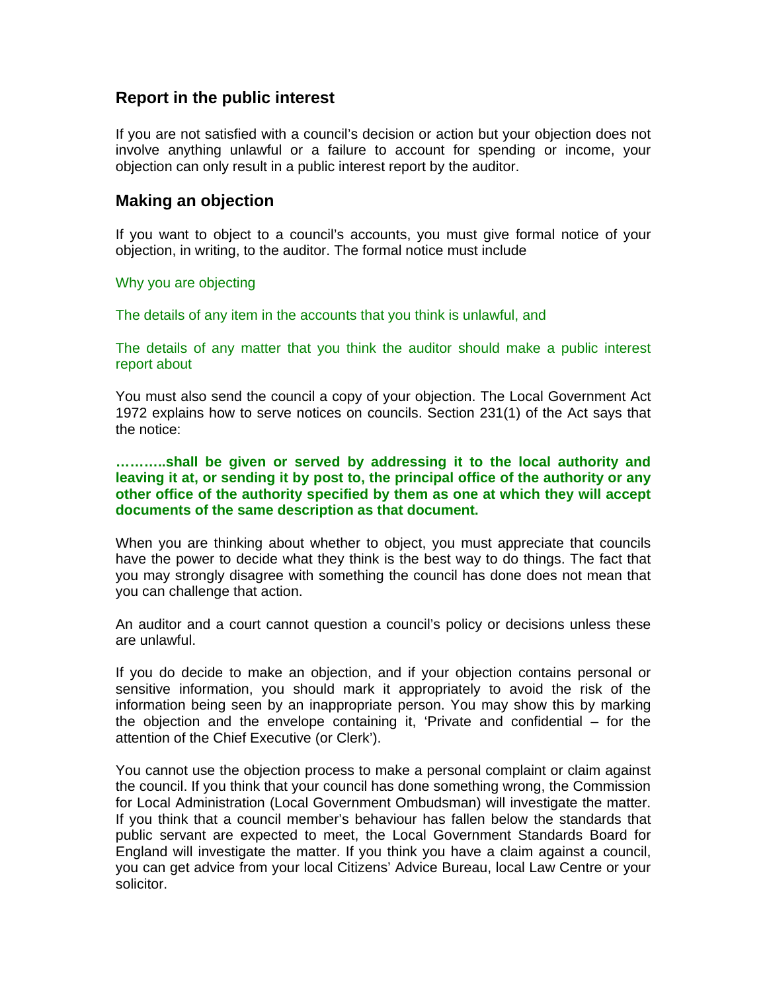# **Report in the public interest**

If you are not satisfied with a council's decision or action but your objection does not involve anything unlawful or a failure to account for spending or income, your objection can only result in a public interest report by the auditor.

### **Making an objection**

If you want to object to a council's accounts, you must give formal notice of your objection, in writing, to the auditor. The formal notice must include

#### Why you are objecting

The details of any item in the accounts that you think is unlawful, and

The details of any matter that you think the auditor should make a public interest report about

You must also send the council a copy of your objection. The Local Government Act 1972 explains how to serve notices on councils. Section 231(1) of the Act says that the notice:

**………..shall be given or served by addressing it to the local authority and leaving it at, or sending it by post to, the principal office of the authority or any other office of the authority specified by them as one at which they will accept documents of the same description as that document.** 

When you are thinking about whether to object, you must appreciate that councils have the power to decide what they think is the best way to do things. The fact that you may strongly disagree with something the council has done does not mean that you can challenge that action.

An auditor and a court cannot question a council's policy or decisions unless these are unlawful.

If you do decide to make an objection, and if your objection contains personal or sensitive information, you should mark it appropriately to avoid the risk of the information being seen by an inappropriate person. You may show this by marking the objection and the envelope containing it, 'Private and confidential – for the attention of the Chief Executive (or Clerk').

You cannot use the objection process to make a personal complaint or claim against the council. If you think that your council has done something wrong, the Commission for Local Administration (Local Government Ombudsman) will investigate the matter. If you think that a council member's behaviour has fallen below the standards that public servant are expected to meet, the Local Government Standards Board for England will investigate the matter. If you think you have a claim against a council, you can get advice from your local Citizens' Advice Bureau, local Law Centre or your solicitor.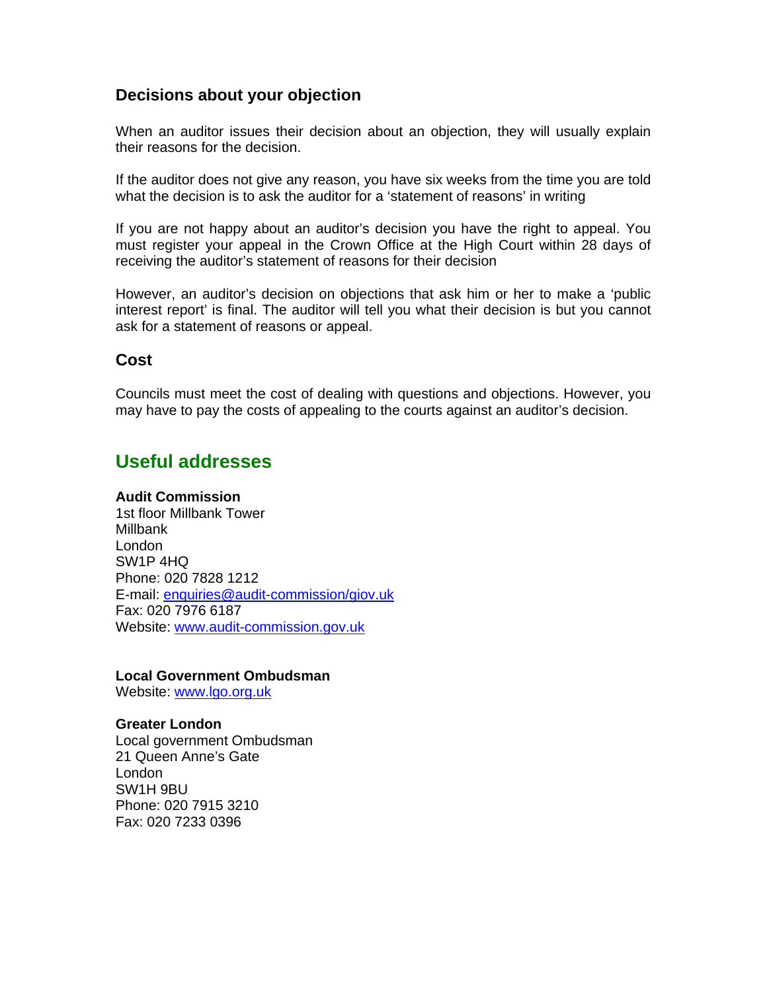# **Decisions about your objection**

When an auditor issues their decision about an objection, they will usually explain their reasons for the decision.

If the auditor does not give any reason, you have six weeks from the time you are told what the decision is to ask the auditor for a 'statement of reasons' in writing

If you are not happy about an auditor's decision you have the right to appeal. You must register your appeal in the Crown Office at the High Court within 28 days of receiving the auditor's statement of reasons for their decision

However, an auditor's decision on objections that ask him or her to make a 'public interest report' is final. The auditor will tell you what their decision is but you cannot ask for a statement of reasons or appeal.

### **Cost**

Councils must meet the cost of dealing with questions and objections. However, you may have to pay the costs of appealing to the courts against an auditor's decision.

# **Useful addresses**

#### **Audit Commission**

1st floor Millbank Tower Millbank London SW1P 4HQ Phone: 020 7828 1212 E-mail: enquiries@audit-commission/giov.uk Fax: 020 7976 6187 Website: www.audit-commission.gov.uk

### **Local Government Ombudsman**

Website: www.lgo.org.uk

#### **Greater London**

Local government Ombudsman 21 Queen Anne's Gate London SW1H 9BU Phone: 020 7915 3210 Fax: 020 7233 0396